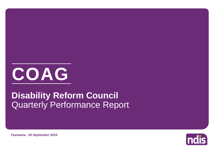

# Quarterly Performance Report **Disability Reform Council**

**Tasmania - 30 September 2018**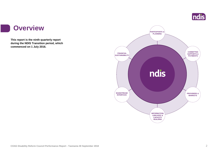

#### **Overview**

i i

**This report is the ninth quarterly report during the NDIS Transition period, which commenced on 1 July 2016.**

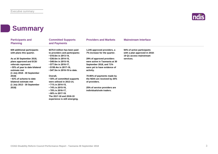

#### **Summary**

| <b>Participants and</b><br><b>Planning</b>                                       | <b>Committed Supports</b><br>and Payments                                                                               | <b>Providers and Markets</b>                                         | <b>Mainstream Interface</b>                                 |
|----------------------------------------------------------------------------------|-------------------------------------------------------------------------------------------------------------------------|----------------------------------------------------------------------|-------------------------------------------------------------|
| 609 additional participants<br>with plans this quarter.                          | \$370.9 million has been paid<br>to providers and participants:                                                         | 1,245 approved providers, a<br>7% increase for the quarter.          | 94% of active participants<br>with a plan approved in 2018- |
| As at 30 September 2018,                                                         | $\cdot$ \$10.0m in 2013-14,<br>• \$36.6m in 2014-15,                                                                    | 29% of approved providers                                            | 19 Q1 access mainstream<br>services.                        |
| plans approved and ECEI                                                          | $\cdot$ \$48.6m in 2015-16,                                                                                             | were active in Tasmania at 30                                        |                                                             |
| referrals represent:<br>• 55% of year to date bilateral<br>estimate met          | • \$77.8m in 2016-17,<br>$\cdot$ \$150.4m in 2017-18,<br>• \$47.5m in 2018-19 to date.                                  | September 2018, and 71%<br>were yet to have evidence of<br>activity. |                                                             |
| (1 July 2018 - 30 September<br>2018)                                             | Overall,                                                                                                                | 70-85% of payments made by                                           |                                                             |
| • 83% of scheme to date<br>bilateral estimate met<br>(1 July 2013 - 30 September | • 55% of committed supports<br>were utilised in 2013-14,<br>• 71% in 2014-15,                                           | the NDIA are received by 25%<br>of providers.                        |                                                             |
| 2018)                                                                            | • 74% in 2015-16,<br>• 78% in 2016-17,<br>• 80% in 2017-18.<br>The 2017-18 and 2018-19<br>experience is still emerging. | 25% of service providers are<br>individuals/sole traders.            |                                                             |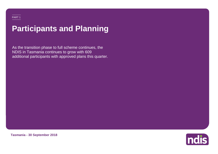# **Participants and Planning**

As the transition phase to full scheme continues, the NDIS in Tasmania continues to grow with 609 additional participants with approved plans this quarter.



**Tasmania - 30 September 2018**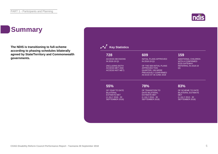#### Indis

### **Summary**

**The NDIS is transitioning to full-scheme according to phasing schedules bilaterally agreed by State/Territory and Commonwealth governments.**

| 728                                                                 | 609                                                                                                                             | 159                                                          |
|---------------------------------------------------------------------|---------------------------------------------------------------------------------------------------------------------------------|--------------------------------------------------------------|
| <b>ACCESS DECISIONS</b>                                             | <b>INITIAL PLANS APPROVED</b>                                                                                                   | <b>ADDITIONAL CHILDREN</b>                                   |
| IN 2018-19 Q1                                                       | IN 2018-19 Q1                                                                                                                   | <b>WITH A CONFIRMED</b>                                      |
| (INCLUDING BOTH)<br><b>ACCESS MET AND</b><br><b>ACCESS NOT MET)</b> | OF THE 609 INITIAL PLANS<br><b>APPROVED THIS</b><br>QUARTER, 106 WERE<br><b>PREVIOUSLY CONFIRMED</b><br>AS ECEI AT 30 JUNE 2018 | <b>ECEI GATEWAY</b><br>REFERRAL IN 2018-19<br>O <sub>1</sub> |
| 55%                                                                 | 78%                                                                                                                             | 83%                                                          |
| OF YEAR TO DATE                                                     | OF TRANSITION TO                                                                                                                | OF SCHEME TO DATE                                            |
| <b>BILATERAL</b>                                                    | <b>DATE BILATERAL</b>                                                                                                           | <b>BILATERAL ESTIMATE</b>                                    |
| <b>ESTIMATE MET</b>                                                 | <b>ESTIMATE MET</b>                                                                                                             | <b>MET</b>                                                   |
| (1 JULY 2018 - 30                                                   | (1 JULY 2016 - 30                                                                                                               | (1 JULY 2013 - 30                                            |
| SEPTEMBER 2018)                                                     | SEPTEMBER 2018)                                                                                                                 | SEPTEMBER 2018)                                              |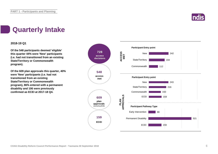

# **Quarterly Intake**

#### **2018-19 Q1**

**Of the 548 participants deemed 'eligible' this quarter 44% were 'New' participants (i.e. had not transitioned from an existing State/Territory or Commonwealth program).**

**Of the 609 plan approvals this quarter, 40% were 'New' participants (i.e. had not transitioned from an existing State/Territory or Commonwealth program), 86% entered with a permanent disability and 106 were previously confirmed as ECEI at 2017-18 Q4.**

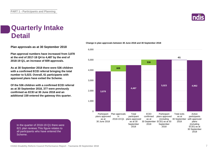

#### **Quarterly Intake Detail**

**Plan approvals as at 30 September 2018**

**Plan approval numbers have increased from 3,878 at the end of 2017-18 Q4 to 4,487 by the end of 2018-19 Q1, an increase of 609 approvals.**

**As at 30 September 2018 there were 536 children with a confirmed ECEI referral bringing the total number to 5,023. Overall, 61 participants with approved plans have exited the Scheme.**

**Of the 536 children with a confirmed ECEI referral as at 30 September 2018, 377 were previously confirmed as ECEI at 30 June 2018 and an additional 159 entered the gateway this quarter.**

#### 6,000

**Change in plan approvals between 30 June 2018 and 30 September 2018**



In the quarter of 2018-19 Q1 there were 821 plan reviews.This figure relates to all participants who have entered the Scheme.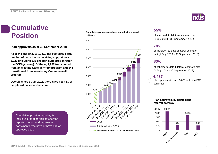# **Cumulative**

**Plan approvals as at 30 September 2018**

**As at the end of 2018-19 Q1, the cumulative total number of participants receiving support was 5,023 (including 536 children supported through the ECEI gateway). Of these, 2,207 transitioned from an existing State/Territory program and 544 transitioned from an existing Commonwealth program.**

**Overall, since 1 July 2013, there have been 5,706 people with access decisions.**

Cumulative position reporting is inclusive of trial participants for the reported period and represents participants who have or have had an approved plan.

#### **Cumulative plan approvals compared with bilateral estimate Position** estimate plan approvals compared with bilateral of year to date bilateral estimate met





#### **55%**

(1 July 2018 - 30 September 2018)

#### **78%**

of transition to date bilateral estimate met (1 July 2016 - 30 September 2018)

#### **83%**

of scheme to date bilateral estimate met (1 July 2013 - 30 September 2018)

#### **4,487**

plan approvals to date; 5,023 including ECEI confirmed

#### **Plan approvals by participant referral pathway**

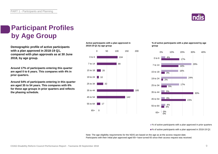

### **Participant Profiles by Age Group**

**2018-19 Q1 by age group Demographic profile of active participants with a plan approved in 2018-19 Q1, compared with plan approvals as at 30 June 2018, by age group.**

**Around 17% of participants entering this quarter are aged 0 to 6 years. This compares with 4% in prior quarters.**

**Around 54% of participants entering in this quarter are aged 35 to 54 years. This compares with 6% for these age groups in prior quarters and reflects the phasing schedule.**

**Active participants with a plan approved in** 



#### **% of active participants with a plan approved by age group**



■% of active participants with a plan approved in prior quarters

■% of active participants with a plan approved in 2018-19 Q1

Note: The age eligibility requirements for the NDIS are based on the age as at the access request date. Participants with their initial plan approved aged 65+ have turned 65 since their access request was received.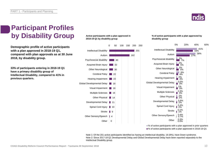

### **Participant Profiles by Disability Group**

**Demographic profile of active participants with a plan approved in 2018-19 Q1, compared with plan approvals as at 30 June 2018, by disability group.**

**33% of participants entering in 2018-19 Q1 have a primary disability group of Intellectual Disability, compared to 41% in previous quarters.**

#### **Active participants with a plan approved in 2018-19 Q1 by disability group**



#### **% of active participants with a plan approved by disability group**



■% of active participants with a plan approved in prior quarters ■% of active participants with a plan approved in 2018-19 Q1

Note 1: Of the 201 active participants identified as having an intellectual disability, 16 (8%), have Down syndrome. Note 2: Since 2017-18 Q1 Developmental Delay and Global Developmental Delay have been reported separately to the Intellectual Disability group.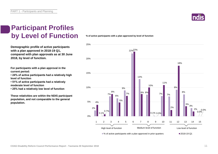

#### **Participant Profiles by Level of Function**

**Demographic profile of active participants with a plan approved in 2018-19 Q1, compared with plan approvals as at 30 June 2018, by level of function.**

**For participants with a plan approval in the current period:** 

**• 24% of active participants had a relatively high level of function**

**• 51% of active participants had a relatively moderate level of function** 

**• 25% had a relatively low level of function**

**These relativities are within the NDIS participant population, and not comparable to the general population.**

**% of active participants with a plan approved by level of function**

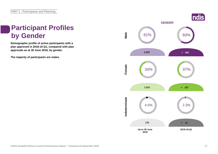# **Participant Profiles**

**Demographic profile of active participants with a plan approved in 2018-19 Q1, compared with plan approvals as at 30 June 2018, by gender.**

**The majority of participants are males.**

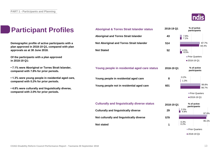

| <u>IS</u>   | <b>Aboriginal &amp; Torres Strait Islander status</b> | 2018-19 Q1 | % of active<br>participants |
|-------------|-------------------------------------------------------|------------|-----------------------------|
|             | <b>Aboriginal and Torres Strait Islander</b>          | 43         | 7.8%<br>7.1%                |
| h a<br>ɔlan | Not Aboriginal and Torres Strait Islander             | 514        | 87.7%<br>84.4%              |
|             | <b>Not Stated</b>                                     | 52         | 4.5%<br>8.5%                |
|             |                                                       |            | Prior Quarters              |
|             |                                                       |            | ■2018-19 Q1                 |
| ۱r,         | Young people in residential aged care status          | 2018-19 Q1 | % of active<br>participants |
| care,       | Young people in residential aged care                 | 8          | 0.2%<br>1.3%                |
| e,          | Young people not in residential aged care             | 601        | 99.8%<br>98.7%              |
|             |                                                       |            | Prior Quarters              |
|             |                                                       |            | 2018-19 Q1                  |
|             | <b>Culturally and linguistically diverse status</b>   | 2018-19 Q1 | % of active<br>participants |
|             | <b>Culturally and linguistically diverse</b>          | 29         | 2.0%<br> 4.8%<br>97.6%      |
|             | Not culturally and linguistically diverse             | 579        |                             |
|             | <b>Not stated</b>                                     | 1          | 95.1%<br>$0.3\%$<br>$0.2\%$ |
|             |                                                       |            | Prior Quarters              |
|             |                                                       |            | ■2018-19 Q1                 |

### **Participant Profile**

**Demographic profile of active participants with** plan approved in 2018-19 Q1, compared with p **approvals as at 30 June 2018.**

**Of the participants with a plan approved in 2018-19 Q1:**

**• 7.1% were Aboriginal or Torres Strait Islander, compared with 7.8% for prior periods.**

**• 1.3% were young people in residential aged care, compared with 0.2% for prior periods.**

**• 4.8% were culturally and linguistically diverse, compared with 2.0% for prior periods.**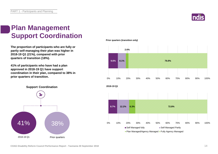

### **Plan Management Support Coordination**

**The proportion of participants who are fully or partly self-managing their plan was higher in 2018-19 Q1 (21%), compared with prior quarters of transition (18%).** 

**41% of participants who have had a plan approved in 2018-19 Q1 have support coordination in their plan, compared to 38% in prior quarters of transition.**



**Prior quarters (transition only)**

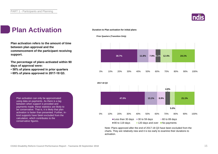

### **Plan Activation Duration to Plan activation for initial plans**

**Plan activation refers to the amount of time between plan approval and the commencement of the participant receiving support.**

**The percentage of plans activated within 90 days of approval were:** 

- **58% of plans approved in prior quarters**
- **69% of plans approved in 2017-18 Q3.**

**Prior Quarters (Transition Only)**





Note: Plans approved after the end of 2017-18 Q3 have been excluded from the charts. They are relatively new and it is too early to examine their durations to activation.

Plan activation can only be approximated using data on payments. As there is a lag between when support is provided and payments made, these statistics are likely to be conservative. That is, it is likely that plan activation is faster than presented. Further, inkind supports have been excluded from the calculation, which contributes to the conservative figures.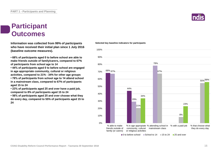#### **Participant Outcomes**

**Information was collected from 99% of participants who have received their initial plan since 1 July 2016 (baseline outcome measures).**

**• 68% of participants aged 0 to before school are able to make friends outside of family/carers, compared to 67% of participants from school age to 14**

**• 44% of participants aged 0 to before school are engaged in age appropriate community, cultural or religious activities, compared to 21% - 34% for other age groups**

**• 78% of participants from school age to 14 attend school in a mainstream class, compared to 67% of participants aged 15 to 24**

**• 23% of participants aged 25 and over have a paid job, compared to 8% of participants aged 15 to 24**

**• 56% of participants aged 25 and over choose what they do every day, compared to 55% of participants aged 15 to 24**

#### **Selected key baseline indicators for participants** 90% 100%



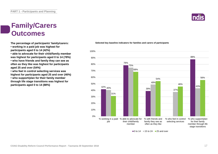### **Family/Carers Outcomes**

**The percentage of participants' family/carers:**

**• working in a paid job was highest for participants aged 0 to 14 (42%)**

**• able to advocate for their child/family member was highest for participants aged 0 to 14 (78%)**

**• who have friends and family they can see as often as they like was highest for participants aged 25 and over (54%)**

**• who feel in control selecting services was highest for participants aged 25 and over (46%) • who support/plan for their family member through life stage transitions was highest for** 

**participants aged 0 to 14 (88%)**



#### **Selected key baseline indicators for families and carers of participants**

 $\Box$  0 to 14  $\Box$  15 to 24  $\Box$  25 and over

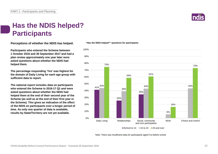

#### **Has the NDIS helped? Participants**

**Perceptions of whether the NDIS has helped.**

**Participants who entered the Scheme between 1 October 2016 and 30 September 2017 and had a plan review approximately one year later were asked questions about whether the NDIS had helped them.**

**The percentage responding 'Yes' was highest for the domain of Daily Living for each age group with sufficient data to report.** 

**The national report includes data on participants who entered the Scheme in 2016-17 Q1 and were asked questions about whether the NDIS had helped them at the end of their second year of the Scheme (as well as at the end of their first year in the Scheme). This gives an indication of the effect of the NDIS on participants over a longer period of time. As only one quarter of data is available, results by State/Territory are not yet available.**



**"Has the NDIS helped?" questions for participants**

School to 14  $\equiv$  15 to 24  $\equiv$  25 and over

Note: There was insufficient data for participants aged 0 to before school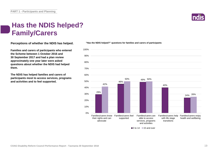#### **Has the NDIS helped? Family/Carers**

**Perceptions of whether the NDIS has helped.**

**Families and carers of participants who entered the Scheme between 1 October 2016 and 30 September 2017 and had a plan review approximately one year later were asked questions about whether the NDIS had helped them.**

**The NDIS has helped families and carers of participants most to access services, programs and activities and to feel supported.**



**"Has the NDIS helped?" questions for families and carers of participants**

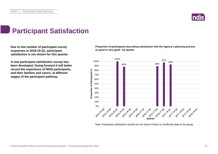

### **Participant Satisfaction**

**Due to low number of participant survey responses in 2018-19 Q1, participant satisfaction is not shown for this quarter.** 

**A new participant satisfaction survey has been developed. Going forward it will better record the experience of NDIS participants, and their families and carers, at different stages of the participant pathway.**

**Proportion of participants describing satisfaction with the Agency's planning process as good or very good - by quarter**



Note: Participant satisfaction results are not shown if there is insufficient data in the group.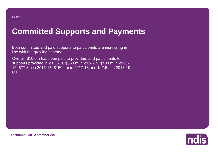# **Committed Supports and Payments**

Both committed and paid supports to participants are increasing in line with the growing scheme.

Overall, \$10.0m has been paid to providers and participants for supports provided in 2013-14, \$36.6m in 2014-15, \$48.6m in 2015- 16, \$77.8m in 2016-17, \$150.4m in 2017-18 and \$47.5m in 2018-19 Q1.



**Tasmania - 30 September 2018**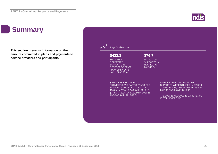#### Indis

### **Summary**

**This section presents information on the amount committed in plans and payments to service providers and participants.**

| \$422.3<br><b>MILLION OF</b><br><b>COMMITTED</b><br><b>SUPPORTS IN</b><br><b>RESPECT OF PRIOR</b><br><b>FINANCIAL YEARS</b><br><b>INCLUDING TRIAL</b>                                                                  | \$76.7<br><b>MILLION OF</b><br><b>SUPPORTS IN</b><br><b>RESPECT OF</b><br>2018-19 Q1 |                                                                                                                                                                                                                    |
|------------------------------------------------------------------------------------------------------------------------------------------------------------------------------------------------------------------------|--------------------------------------------------------------------------------------|--------------------------------------------------------------------------------------------------------------------------------------------------------------------------------------------------------------------|
| \$10.0M HAS BEEN PAID TO<br><b>PROVIDERS AND PARTICIPANTS FOR</b><br>SUPPORTS PROVIDED IN 2013-14,<br>\$36.6M IN 2014-15, \$48.6M IN 2015-16,<br>\$77.8M IN 2016-17, \$150.4M IN 2017-18<br>AND \$47.5M IN 2018-19 Q1. |                                                                                      | <b>OVERALL, 55% OF COMMITTED</b><br>SUPPORTS WERE UTILISED IN 2013-14,<br>71% IN 2014-15, 74% IN 2015-16, 78% IN<br>2016-17 AND 80% IN 2017-18.<br>THE 2017-18 AND 2018-19 EXPERIENCE<br><b>IS STILL EMERGING.</b> |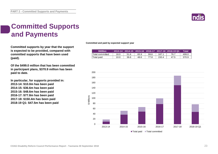

#### **Committed Supports and Payments**

**Committed supports by year that the support is expected to be provided, compared with committed supports that have been used (paid).**

**Of the \$499.0 million that has been committed in participant plans, \$370.9 million has been paid to date.**

**In particular, for supports provided in: 2013-14: \$10.0m has been paid 2014-15: \$36.6m has been paid 2015-16: \$48.6m has been paid 2016-17: \$77.8m has been paid 2017-18: \$150.4m has been paid 2018-19 Q1: \$47.5m has been paid**

**Committed and paid by expected support year**

| <b>SMillion</b> |      |      |      |      |       | 2013-14   2014-15   2015-16   2016-17   2017-18   2018-19 Q1 | Total |
|-----------------|------|------|------|------|-------|--------------------------------------------------------------|-------|
| Total committed | 18.0 | 51.6 | 65.9 | 99.6 | 187.1 | 76.7                                                         | 499.0 |
| Total paid      | 10.0 | 36.6 | 48.6 | 77.8 | 150.4 | 47.5                                                         | 370.9 |

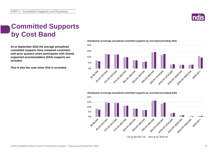

#### **Committed Supports by Cost Band**

**As at September 2018 the average annualised committed supports have remained consistent with prior quarters when participants with shared supported accommodation (SSA) supports are included.**

**This is also the case when SSA is excluded.**



#### **Distribution of average annualised committed supports by cost band (excluding SSA)**



#### **Distribution of average annualised committed supports by cost band (including SSA)**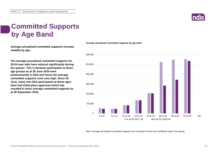

### **Committed Supports by Age Band**

**Average annualised committed supports increase steadily by age.**

**The average annualised committed supports for 35-54 year olds have reduced significantly during the quarter. This is because participants in these age groups as at 30 June 2018 were predominantly in SSA and hence the average committed supports were very high. Since 30 June, many non-SSA participants at these ages have had initial plans approved which has resulted in lower average committed supports as at 30 September 2018.**



Note: Average annualised committed supports are not shown if there are insufficient data in the group.

**Average annualised committed supports by age band**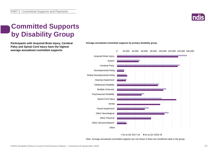

### **Committed Supports by Disability Group**

**Participants with Acquired Brain Injury, Cerebral Average annualised committed supports by primary disability group Palsy and Spinal Cord Injury have the highest average annualised committed supports.**





Note: Average annualised committed supports are not shown if there are insufficient data in the group.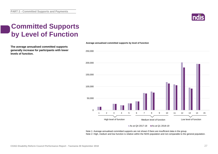

### **Committed Supports by Level of Function**

**The average annualised committed supports generally increase for participants with lower levels of function.**



**Average annualised committed supports by level of function**

#### As at Q4 2017-18  $\blacksquare$  As at Q1 2018-19

Note 1: Average annualised committed supports are not shown if there are insufficient data in the group. Note 2: High, medium and low function is relative within the NDIS population and not comparable to the general population.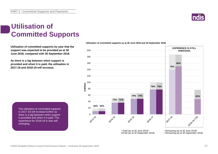### **Utilisation of Committed Supports**

**Utilisation of committed supports by year that the support was expected to be provided as at 30 June 2018, compared with 30 September 2018.** 

**As there is a lag between when support is provided and when it is paid, the utilisation in 2017-18 and 2018-19 will increase.**

> The utilisation of committed supports in 2017-18 will increase further as there is a lag between when support is provided and when it is paid. The experience for 2018-19 is also still emerging.



#### **Indis**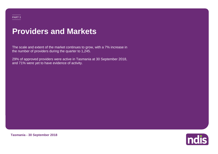#### PART 3

# **Providers and Markets**

The scale and extent of the market continues to grow, with a 7% increase in the number of providers during the quarter to 1,245.

29% of approved providers were active in Tasmania at 30 September 2018, and 71% were yet to have evidence of activity.



**Tasmania - 30 September 2018**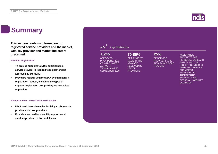### **Summary**

**This section contains information on registered service providers and the market, with key provider and market indicators presented.**

#### **Provider registration**

- **To provide supports to NDIS participants, a service provider is required to register and be approved by the NDIA.**
- **Providers register with the NDIA by submitting a registration request, indicating the types of support (registration groups) they are accredited to provide.**

#### **How providers interact with participants**

- **NDIS participants have the flexibility to choose the providers who support them.**
- **Providers are paid for disability supports and services provided to the participants.**

| 1,245<br><b>APPROVED</b><br>PROVIDERS, 29%<br>OF WHICH WERE<br><b>ACTIVE IN</b><br><b>TASMANIA AT 30</b><br><b>SEPTEMBER 2018</b> | 70-85%<br>OF PAYMENTS<br><b>MADE BY THE</b><br><b>NDIA ARE</b><br><b>RECEIVED BY</b><br>25% OF<br><b>PROVIDERS</b> | 25%<br>OF SERVICE<br><b>PROVIDERS ARE</b><br><b>INDIVIDUALS/SOLE</b><br><b>TRADERS</b> | <b>ASSISTANCE</b><br><b>PRODUCTS FOR</b><br>PERSONAL CARE AND<br><b>SAFETY HAS THE</b><br><b>HIGHEST NUMBER OF</b><br><b>APPROVED SERVICE</b><br>PROVIDERS,<br><b>FOLLOWED BY</b><br><b>THERAPEUTIC</b><br><b>SUPPORTS AND</b><br>PERSONAL MOBILITY<br><b>EQUIPMENT</b> |
|-----------------------------------------------------------------------------------------------------------------------------------|--------------------------------------------------------------------------------------------------------------------|----------------------------------------------------------------------------------------|-------------------------------------------------------------------------------------------------------------------------------------------------------------------------------------------------------------------------------------------------------------------------|
|-----------------------------------------------------------------------------------------------------------------------------------|--------------------------------------------------------------------------------------------------------------------|----------------------------------------------------------------------------------------|-------------------------------------------------------------------------------------------------------------------------------------------------------------------------------------------------------------------------------------------------------------------------|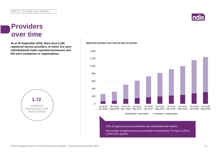

#### **Providers over time**

**As at 30 September 2018, there were 1,245 Approved providers over time by type of provider registered service providers, of which 311 were individual/sole trader operated businesses and 934 were companies or organisations.**



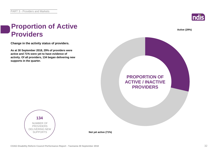

**Active (29%)**

#### **Proportion of Active Providers**

**Change in the activity status of providers.**

**As at 30 September 2018, 29% of providers were active and 71% were yet to have evidence of activity. Of all providers, 134 began delivering new supports in the quarter.**





**Not yet active (71%)**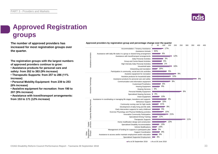

### **Approved Registration groups**

**The number of approved providers has** *Approved providers by registration group and percentage change over the quarter***<br>
<b>150** 150 100 150 100 150 160 150 160 150 160 150 160 150 160 150 160 150 160 150 160 150 160 150 1 **increased for most registration groups over the quarter.**

**The registration groups with the largest numbers of approved providers continue to grow:**

**• Assistance products for personal care and safety: from 352 to 383 (9% increase)**

**• Therapeutic Supports: from 257 to 286 (11% increase)**

**• Personal Mobility Equipment: from 239 to 253 (6% increase)**

**• Assistive equipment for recreation: from 190 to 207 (9% increase)**

**• Assistance with travel/transport arrangements: from 153 to 171 (12% increase)**

0 50 100 150 200 250 300 350 400 450 17% Accommodation / Tenancy Assistance 50% Assistance Animals 6% Assistance services Assistance with daily life tasks in a group or shared living arrangement Assistance services Assistance with travel/transport arrangements 12% Daily Personal Activities 3% Group and Centre Based Activities 6% 1% High Intensity Daily Personal Activities Household tasks 16% 18% Interpreting and translation 5% Participation in community, social and civic activities 9% Assistive equipment for recreation 10% Assistive products for household tasks Assistive Technology Assistive Technology Assistance products for personal care and safety Q<sup>o</sup> 9% Communication and information equipment 6% Customised Prosthetics 8% Hearing Equipment 0% Hearing Services 6% Personal Mobility Equipment Specialised Hearing Services  $\blacksquare$  0% 10% Vision Equipment 3% Assistance in coordinating or managing life stages, transitions and supports Services Capacity Building Services 10% Behaviour Support Community nursing care for high needs 21% Development of daily living and life skills 9% Building 5% Early Intervention supports for early childhood Exercise Physiology and Physical Wellbeing activities 15% Capacity I Innovative Community Participation 21% Specialised Driving Training 12% 11% Therapeutic Supports 13% Home modification design and construction Capital services 13% Specialised Disability Accommodation Vehicle Modifications 23% Management of funding for supports in participants plan 3% Registration Groups 8% Other Support Coordination Assistance to access and/or maintain employment and/or education 0% Specialised Supported Employment 4%

As at 30 September 2018 As at 30 June 2018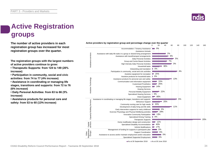

# **Active Registration groups**

**The number of active providers in each registration group has increased for most registration groups over the quarter.**

**The registration groups with the largest numbers of active providers continue to grow:**

**• Therapeutic Supports: from 124 to 149 (20% increase)**

**• Participation in community, social and civic activities: from 74 to 77 (4% increase)**

**• Assistance in coordinating or managing life stages, transitions and supports: from 72 to 76 (6% increase)**

**• Daily Personal Activities: from 63 to 66 (5% increase)**

**• Assistance products for personal care and safety: from 53 to 60 (13% increase)**



As at 30 September 2018 As at 30 June 2018

Active providers by registration group and percentage change over the quarter<br>0 20 40 0 20 40 60 80 100 120 140 160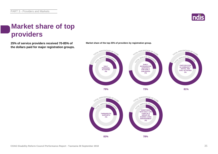

#### **Market share of top providers**

**25% of service providers received 70-85% of the dollars paid for major registration groups.**



**Market share of the top 25% of providers by registration group.**

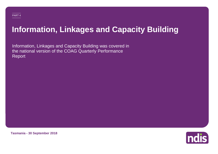# **Information, Linkages and Capacity Building**

Information, Linkages and Capacity Building was covered in the national version of the COAG Quarterly Performance Report

**Tasmania - 30 September 2018**

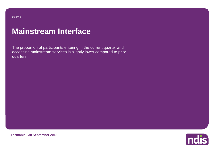#### PART 5

### **Mainstream Interface**

The proportion of participants entering in the current quarter and accessing mainstream services is slightly lower compared to prior quarters.



**Tasmania - 30 September 2018**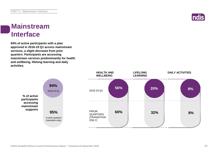

#### **Mainstream Interface**

**94% of active participants with a plan approved in 2018-19 Q1 access mainstream services, a slight decrease from prior quarters. Participants are accessing mainstream services predominantly for health and wellbeing, lifelong learning and daily activities.**